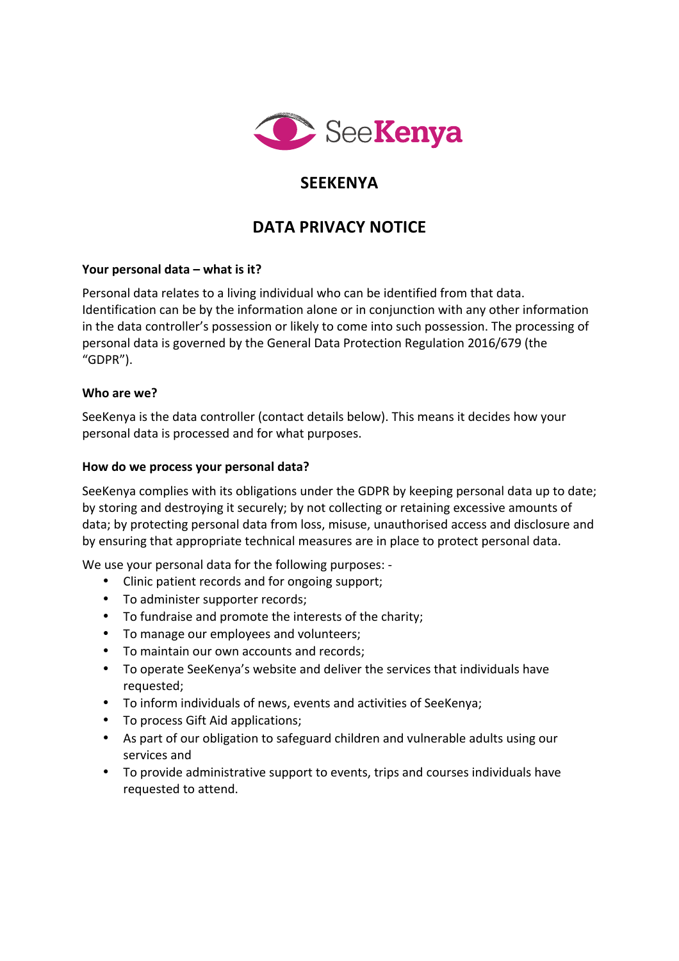

# **SEEKENYA**

# DATA PRIVACY NOTICF

## Your personal data – what is it?

Personal data relates to a living individual who can be identified from that data. Identification can be by the information alone or in conjunction with any other information in the data controller's possession or likely to come into such possession. The processing of personal data is governed by the General Data Protection Regulation 2016/679 (the "GDPR"). 

#### **Who are we?**

SeeKenya is the data controller (contact details below). This means it decides how your personal data is processed and for what purposes.

#### How do we process your personal data?

SeeKenya complies with its obligations under the GDPR by keeping personal data up to date; by storing and destroying it securely; by not collecting or retaining excessive amounts of data; by protecting personal data from loss, misuse, unauthorised access and disclosure and by ensuring that appropriate technical measures are in place to protect personal data.

We use your personal data for the following purposes: -

- Clinic patient records and for ongoing support;
- To administer supporter records;
- To fundraise and promote the interests of the charity;
- To manage our employees and volunteers;
- To maintain our own accounts and records;
- To operate SeeKenya's website and deliver the services that individuals have requested;
- To inform individuals of news, events and activities of SeeKenya;
- To process Gift Aid applications:
- As part of our obligation to safeguard children and vulnerable adults using our services and
- To provide administrative support to events, trips and courses individuals have requested to attend.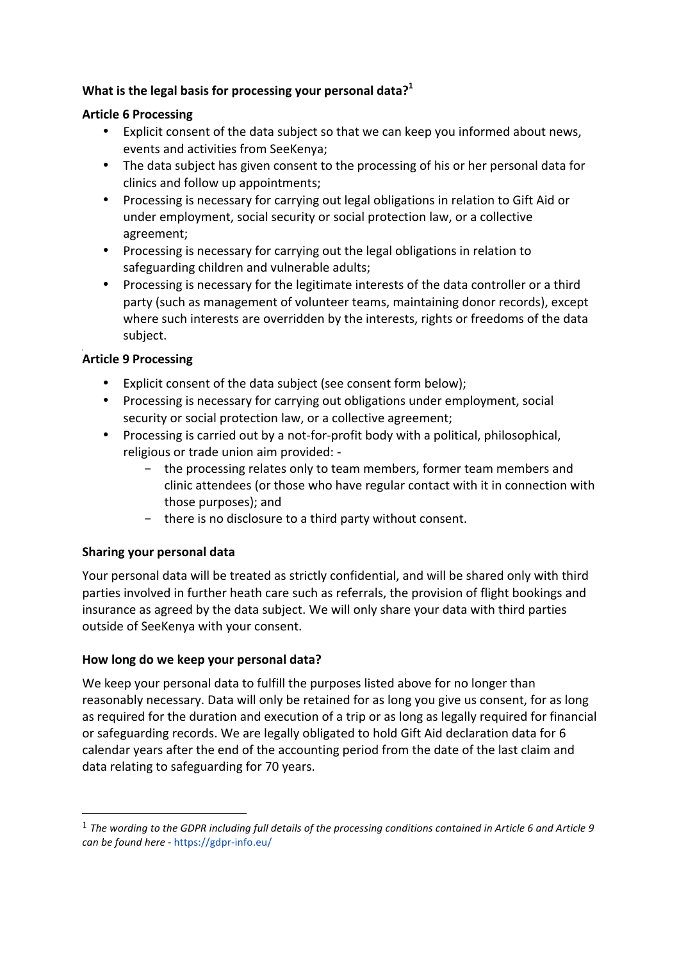# **What is the legal basis for processing your personal data?**<sup>1</sup>

#### **Article 6 Processing**

- Explicit consent of the data subject so that we can keep you informed about news. events and activities from SeeKenya;
- The data subject has given consent to the processing of his or her personal data for clinics and follow up appointments;
- Processing is necessary for carrying out legal obligations in relation to Gift Aid or under employment, social security or social protection law, or a collective agreement;
- Processing is necessary for carrying out the legal obligations in relation to safeguarding children and vulnerable adults;
- Processing is necessary for the legitimate interests of the data controller or a third party (such as management of volunteer teams, maintaining donor records), except where such interests are overridden by the interests, rights or freedoms of the data subject.

# **Article 9 Processing**

- Explicit consent of the data subject (see consent form below);
- Processing is necessary for carrying out obligations under employment, social security or social protection law, or a collective agreement;
- Processing is carried out by a not-for-profit body with a political, philosophical, religious or trade union aim provided: -
	- the processing relates only to team members, former team members and clinic attendees (or those who have regular contact with it in connection with those purposes); and
	- there is no disclosure to a third party without consent.

## **Sharing your personal data**

 

Your personal data will be treated as strictly confidential, and will be shared only with third parties involved in further heath care such as referrals, the provision of flight bookings and insurance as agreed by the data subject. We will only share your data with third parties outside of SeeKenya with your consent.

## How long do we keep your personal data?

We keep your personal data to fulfill the purposes listed above for no longer than reasonably necessary. Data will only be retained for as long you give us consent, for as long as required for the duration and execution of a trip or as long as legally required for financial or safeguarding records. We are legally obligated to hold Gift Aid declaration data for 6 calendar years after the end of the accounting period from the date of the last claim and data relating to safeguarding for 70 years.

<sup>&</sup>lt;sup>1</sup> The wording to the GDPR including full details of the processing conditions contained in Article 6 and Article 9 *can be found here* - https://gdpr-info.eu/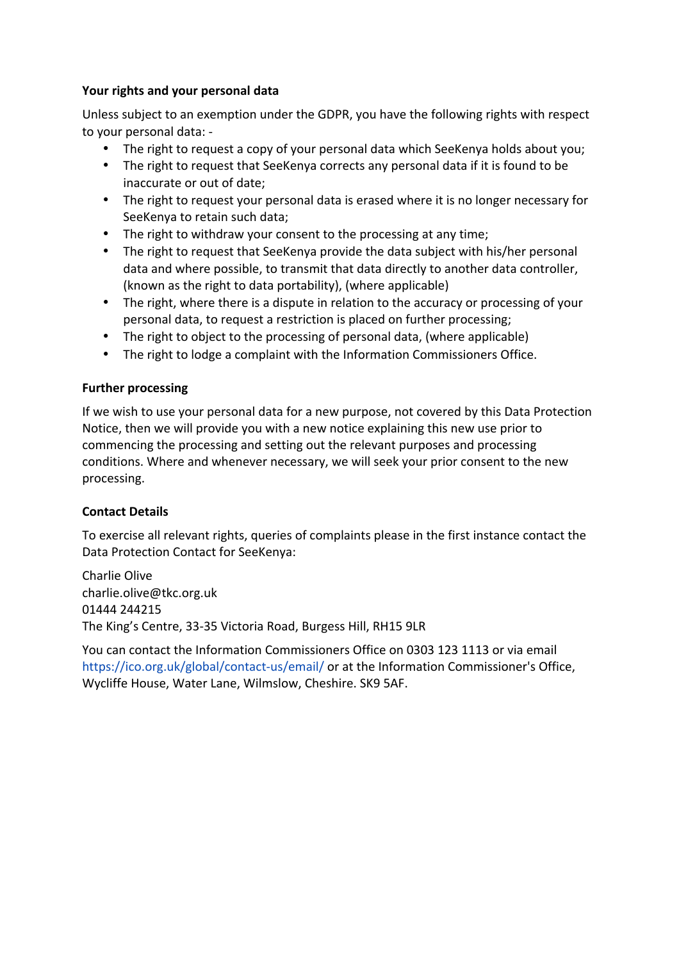#### Your rights and your personal data

Unless subject to an exemption under the GDPR, you have the following rights with respect to your personal data: -

- The right to request a copy of your personal data which SeeKenya holds about you;
- The right to request that SeeKenya corrects any personal data if it is found to be inaccurate or out of date:
- The right to request your personal data is erased where it is no longer necessary for SeeKenya to retain such data;
- The right to withdraw your consent to the processing at any time;
- The right to request that SeeKenya provide the data subject with his/her personal data and where possible, to transmit that data directly to another data controller, (known as the right to data portability), (where applicable)
- The right, where there is a dispute in relation to the accuracy or processing of your personal data, to request a restriction is placed on further processing;
- The right to object to the processing of personal data, (where applicable)
- The right to lodge a complaint with the Information Commissioners Office.

#### **Further processing**

If we wish to use your personal data for a new purpose, not covered by this Data Protection Notice, then we will provide you with a new notice explaining this new use prior to commencing the processing and setting out the relevant purposes and processing conditions. Where and whenever necessary, we will seek your prior consent to the new processing.

## **Contact Details**

To exercise all relevant rights, queries of complaints please in the first instance contact the Data Protection Contact for SeeKenya:

Charlie Olive charlie.olive@tkc.org.uk 01444 244215 The King's Centre, 33-35 Victoria Road, Burgess Hill, RH15 9LR

You can contact the Information Commissioners Office on 0303 123 1113 or via email https://ico.org.uk/global/contact-us/email/ or at the Information Commissioner's Office, Wycliffe House, Water Lane, Wilmslow, Cheshire. SK9 5AF.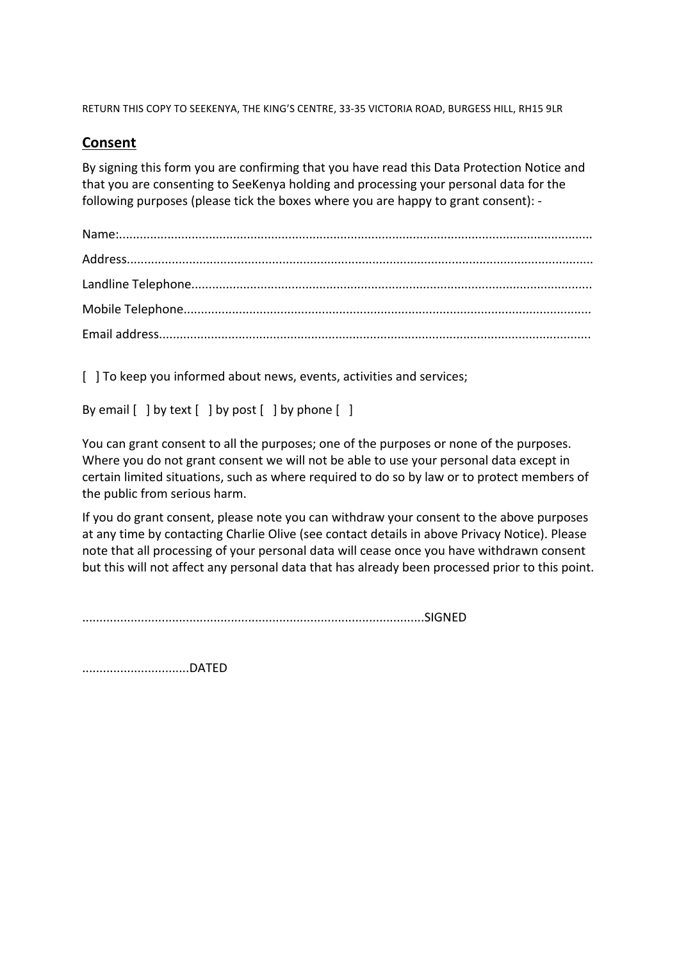RETURN THIS COPY TO SEEKENYA, THE KING'S CENTRE, 33-35 VICTORIA ROAD, BURGESS HILL, RH15 9LR

# **Consent**

By signing this form you are confirming that you have read this Data Protection Notice and that you are consenting to SeeKenya holding and processing your personal data for the following purposes (please tick the boxes where you are happy to grant consent): -

[  $\vert$  ] To keep you informed about news, events, activities and services;

By email  $\lceil$  | by text  $\lceil$  | by post  $\lceil$  | by phone  $\lceil$  |

You can grant consent to all the purposes; one of the purposes or none of the purposes. Where you do not grant consent we will not be able to use your personal data except in certain limited situations, such as where required to do so by law or to protect members of the public from serious harm.

If you do grant consent, please note you can withdraw your consent to the above purposes at any time by contacting Charlie Olive (see contact details in above Privacy Notice). Please note that all processing of your personal data will cease once you have withdrawn consent but this will not affect any personal data that has already been processed prior to this point.

...................................................................................................SIGNED 

...............................DATED